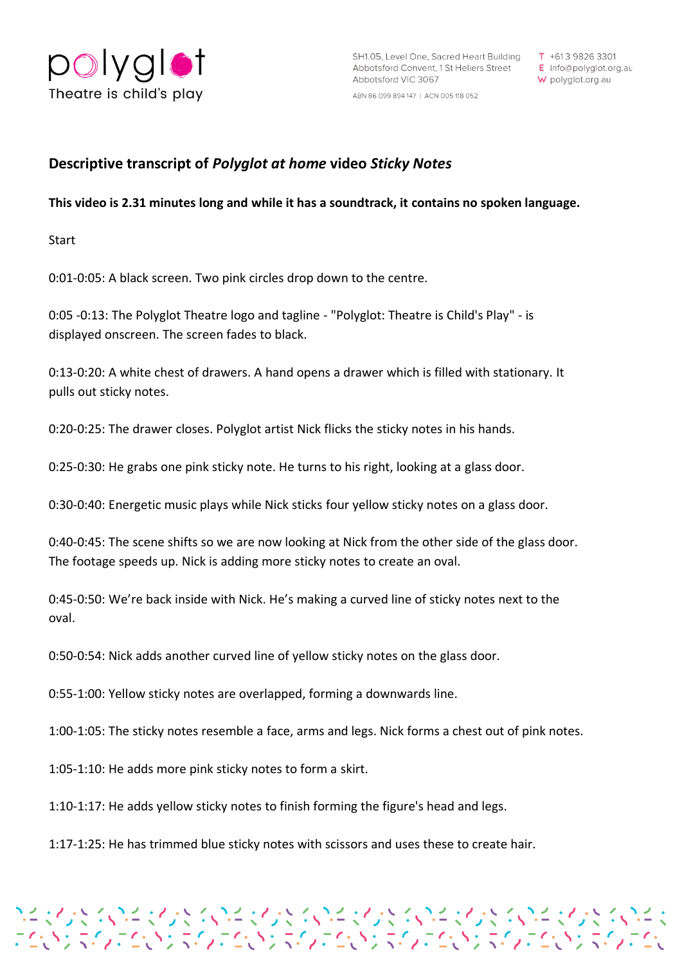

E info@polyglot.org.au W polyglot.org.au

ABN 86 099 894 147 | ACN 005 118 052

## **Descriptive transcript of** *Polyglot at home* **video** *Sticky Notes*

## **This video is 2.31 minutes long and while it has a soundtrack, it contains no spoken language.**

Start

0:01-0:05: A black screen. Two pink circles drop down to the centre.

0:05 -0:13: The Polyglot Theatre logo and tagline - "Polyglot: Theatre is Child's Play" - is displayed onscreen. The screen fades to black.

0:13-0:20: A white chest of drawers. A hand opens a drawer which is filled with stationary. It pulls out sticky notes.

0:20-0:25: The drawer closes. Polyglot artist Nick flicks the sticky notes in his hands.

0:25-0:30: He grabs one pink sticky note. He turns to his right, looking at a glass door.

0:30-0:40: Energetic music plays while Nick sticks four yellow sticky notes on a glass door.

0:40-0:45: The scene shifts so we are now looking at Nick from the other side of the glass door. The footage speeds up. Nick is adding more sticky notes to create an oval.

0:45-0:50: We're back inside with Nick. He's making a curved line of sticky notes next to the oval.

0:50-0:54: Nick adds another curved line of yellow sticky notes on the glass door.

0:55-1:00: Yellow sticky notes are overlapped, forming a downwards line.

1:00-1:05: The sticky notes resemble a face, arms and legs. Nick forms a chest out of pink notes.

プチャイント くいきゅくしょく くいきゅくしょく くいきゅくしょう くいしょう くいしょく くいきょう<br>こくいう スインコントン スインコンドン スインコンドン スインコンドン エンドラインコンド

1:05-1:10: He adds more pink sticky notes to form a skirt.

1:10-1:17: He adds yellow sticky notes to finish forming the figure's head and legs.

1:17-1:25: He has trimmed blue sticky notes with scissors and uses these to create hair.